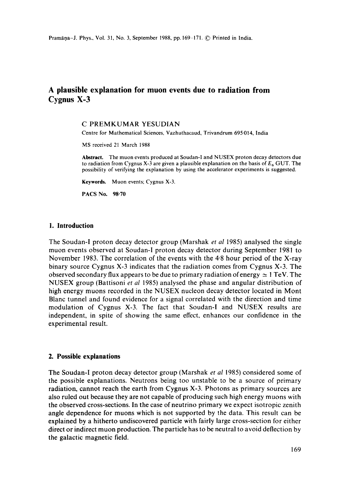# **A plausible explanation for muon events due to radiation from Cygnus X-3**

#### C PREMKUMAR YESUDIAN

Centre for Mathematical Sciences, Vazhuthacaud, Trivandrum 695 014, India

MS received 21 March 1988

**Abstract.** The muon events produced at Soudan-I and NUSEX proton decay detectors due to radiation from Cygnus X-3 are given a plausible explanation on the basis of  $E_6$  GUT. The possibility of verifying the explanation by using the accelerator experiments is suggested.

**Keywords.** Muon events; Cygnus X-3.

PACS No. 98-70

#### **1. Introduction**

The Soudan-I proton decay detector group (Marshak *et al* 1985) analysed the single muon events observed at Soudan-I proton decay detector during September 1981 to November 1983. The correlation of the events with the 4.8 hour period of the X-ray binary source Cygnus X-3 indicates that the radiation comes from Cygnus X-3. The observed secondary flux appears to be due to primary radiation of energy  $\simeq 1 \text{ TeV}$ . The NUSEX group (Battisoni *et al* 1985) analysed the phase and angular distribution of high energy muons recorded in the NUSEX nucleon decay detector located in Mont Blanc tunnel and found evidence for a signal correlated with the direction and time modulation of Cygnus X-3. The fact that Soudan-I and NUSEX results are independent, in spite of showing the same effect, enhances our confidence in the experimental result.

### **2. Possible explanations**

The Soudan-I proton decay detector group (Marshak *et al* 1985) considered some of the possible explanations. Neutrons being too unstable to be a source of primary radiation, cannot reach the earth from Cygnus X-3. Photons as primary sources are also ruled out because they are not capable of producing such high energy muons with the observed cross-sections. In the case of neutrino primary we expect isotropic zenith angle dependence for muons which is not supported by the data. This result can be explained by a hitherto undiscovered particle with fairly large cross-section for either direct or indirect muon production. The particle has to be neutral to avoid deflection by the galactic magnetic field.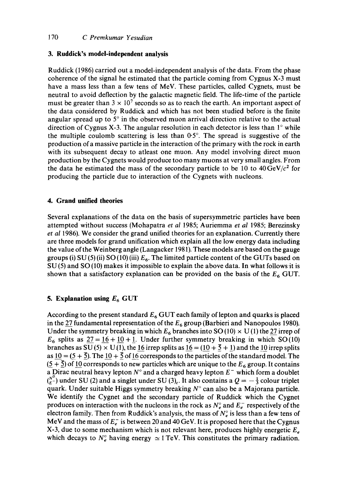# **3. Ruddick's model-independent analysis**

Ruddick (1986) carried out a model-independent analysis of the data. From the phase coherence of the signal he estimated that the particle coming from Cygnus X-3 must have a mass less than a few tens of MeV. These particles, called Cygnets, must be neutral to avoid deflection by the galactic magnetic field. The life-time of the particle must be greater than  $3 \times 10^7$  seconds so as to reach the earth. An important aspect of the data considered by Ruddick and which has not been studied before is the finite angular spread up to  $5^\circ$  in the observed muon arrival direction relative to the actual direction of Cygnus X-3. The angular resolution in each detector is less than  $1^\circ$  while the multiple coulomb scattering is less than  $0.5^\circ$ . The spread is suggestive of the production of a massive particle in the interaction of the primary with the rock in earth with its subsequent decay to atleast one muon. Any model involving direct muon production by the Cygnets would produce too many muons at very small angles. From the data he estimated the mass of the secondary particle to be 10 to  $40 \,\text{GeV}/c^2$  for producing the particle due to interaction of the Cygnets with nucleons.

## **4. Grand unified theories**

Several explanations of the data on the basis of supersymmetric particles have been attempted without success (Mohapatra *et al* 1985; Auriemma *et al* 1985; Berezinsky *et al* 1986). We consider the grand unified theories for an explanation. Currently there are three models for grand unification which explain all the low energy data including the value of the Weinberg angle (Langacker 1981). These models are based on the gauge groups (i) SU (5) (ii) SO (10) (iii)  $E_6$ . The limited particle content of the GUTs based on SU (5) and SO (10) makes it impossible to explain the above data. In what follows it is shown that a satisfactory explanation can be provided on the basis of the  $E_6$  GUT.

# **5. Explanation using**  $E_6$  **GUT**

According to the present standard  $E_6$  GUT each family of lepton and quarks is placed in the  $27$  fundamental representation of the  $E_6$  group (Barbieri and Nanopoulos 1980). Under the symmetry breaking in which  $E_6$  branches into SO (10)  $\times$  U (1) the 27 irrep of  $E_6$  splits as  $27 = 16 + 10 + 1$ . Under further symmetry breaking in which SO(10) branches as SU (5)  $\times$  U(1), the 16 irrep splits as  $16 = (10 + 5 + 1)$  and the 10 irrep splits as  $10 = (5 + 5)$ . The  $10 + 5$  of 16 corresponds to the particles of the standard model. The  $(5 + \overline{5})$  of 10 corresponds to new particles which are unique to the  $E_6$  group. It contains a Dirac neutral heavy lepton  $N^{\circ}$  and a charged heavy lepton  $E^-$  which form a doublet  $N_c^{N^0}$  under SU (2) and a singlet under SU (3)<sub>c</sub>. It also contains a  $Q = -\frac{1}{3}$  colour triplet quark. Under suitable Higgs symmetry breaking  $N^{\circ}$  can also be a Majorana particle. We identify the Cygnet and the secondary particle of Ruddick which the Cygnet produces on interaction with the nucleons in the rock as  $N_e^{\circ}$  and  $E_e^-$  respectively of the electron family. Then from Ruddick's analysis, the mass of  $N_e^{\circ}$  is less than a few tens of MeV and the mass of  $E_{\epsilon}^-$  is between 20 and 40 GeV. It is proposed here that the Cygnus X-3, due to some mechanism which is not relevant here, produces highly energetic  $E_e$ which decays to  $N_e^{\circ}$  having energy  $\simeq$  1 TeV. This constitutes the primary radiation.